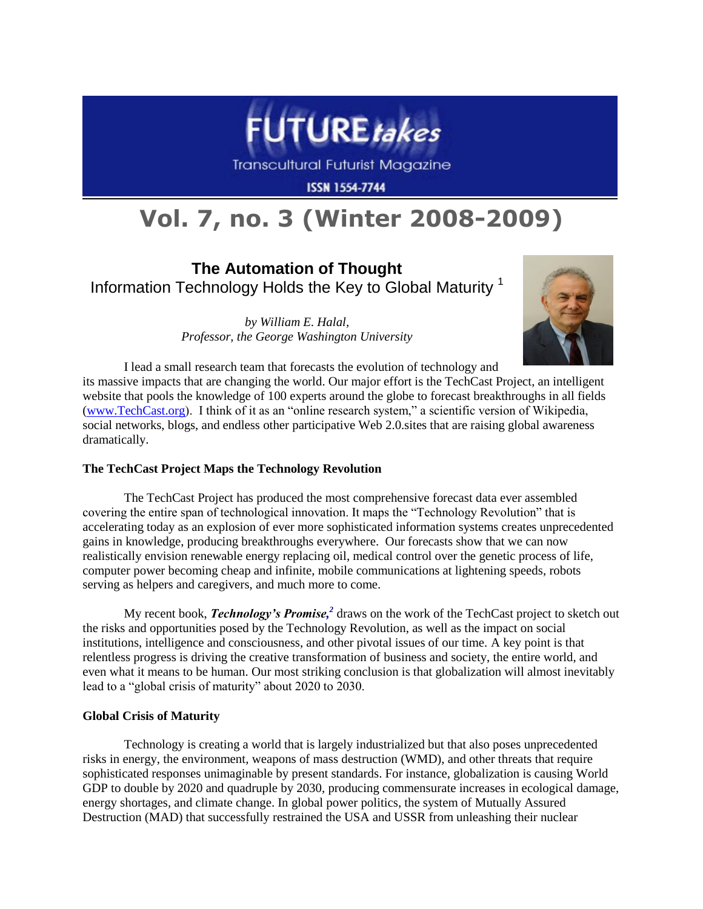

Transcultural Futurist Magazine

**ISSN 1554-7744** 

# **Vol. 7, no. 3 (Winter 2008-2009)**

**The Automation of Thought** Information Technology Holds the Key to Global Maturity <sup>1</sup>

> *by William E. Halal, Professor, the George Washington University*



I lead a small research team that forecasts the evolution of technology and its massive impacts that are changing the world. Our major effort is the TechCast Project, an intelligent website that pools the knowledge of 100 experts around the globe to forecast breakthroughs in all fields [\(www.TechCast.org\)](http://www.techcast.org/). I think of it as an "online research system," a scientific version of Wikipedia, social networks, blogs, and endless other participative Web 2.0.sites that are raising global awareness dramatically.

# **The TechCast Project Maps the Technology Revolution**

The TechCast Project has produced the most comprehensive forecast data ever assembled covering the entire span of technological innovation. It maps the "Technology Revolution" that is accelerating today as an explosion of ever more sophisticated information systems creates unprecedented gains in knowledge, producing breakthroughs everywhere. Our forecasts show that we can now realistically envision renewable energy replacing oil, medical control over the genetic process of life, computer power becoming cheap and infinite, mobile communications at lightening speeds, robots serving as helpers and caregivers, and much more to come.

My recent book, *Technology's Promise, 2* draws on the work of the TechCast project to sketch out the risks and opportunities posed by the Technology Revolution, as well as the impact on social institutions, intelligence and consciousness, and other pivotal issues of our time. A key point is that relentless progress is driving the creative transformation of business and society, the entire world, and even what it means to be human. Our most striking conclusion is that globalization will almost inevitably lead to a "global crisis of maturity" about 2020 to 2030.

# **Global Crisis of Maturity**

Technology is creating a world that is largely industrialized but that also poses unprecedented risks in energy, the environment, weapons of mass destruction (WMD), and other threats that require sophisticated responses unimaginable by present standards. For instance, globalization is causing World GDP to double by 2020 and quadruple by 2030, producing commensurate increases in ecological damage, energy shortages, and climate change. In global power politics, the system of Mutually Assured Destruction (MAD) that successfully restrained the USA and USSR from unleashing their nuclear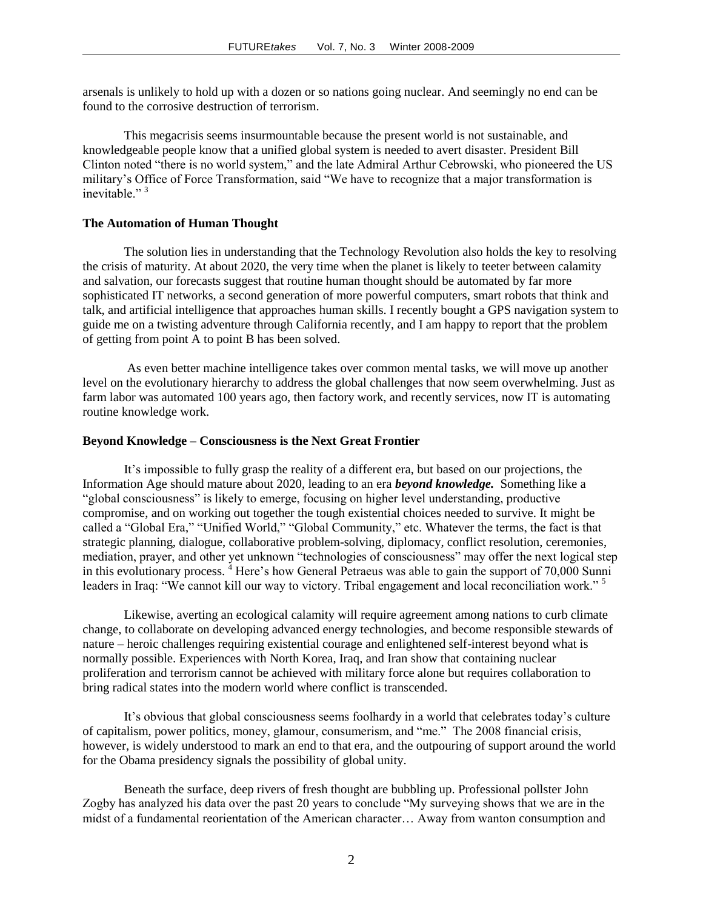arsenals is unlikely to hold up with a dozen or so nations going nuclear. And seemingly no end can be found to the corrosive destruction of terrorism.

This megacrisis seems insurmountable because the present world is not sustainable, and knowledgeable people know that a unified global system is needed to avert disaster. President Bill Clinton noted "there is no world system," and the late Admiral Arthur Cebrowski, who pioneered the US military's Office of Force Transformation, said "We have to recognize that a major transformation is inevitable $"$ <sup>3</sup>

#### **The Automation of Human Thought**

The solution lies in understanding that the Technology Revolution also holds the key to resolving the crisis of maturity. At about 2020, the very time when the planet is likely to teeter between calamity and salvation, our forecasts suggest that routine human thought should be automated by far more sophisticated IT networks, a second generation of more powerful computers, smart robots that think and talk, and artificial intelligence that approaches human skills. I recently bought a GPS navigation system to guide me on a twisting adventure through California recently, and I am happy to report that the problem of getting from point A to point B has been solved.

As even better machine intelligence takes over common mental tasks, we will move up another level on the evolutionary hierarchy to address the global challenges that now seem overwhelming. Just as farm labor was automated 100 years ago, then factory work, and recently services, now IT is automating routine knowledge work.

## **Beyond Knowledge – Consciousness is the Next Great Frontier**

It's impossible to fully grasp the reality of a different era, but based on our projections, the Information Age should mature about 2020, leading to an era *beyond knowledge.* Something like a "global consciousness" is likely to emerge, focusing on higher level understanding, productive compromise, and on working out together the tough existential choices needed to survive. It might be called a "Global Era," "Unified World," "Global Community," etc. Whatever the terms, the fact is that strategic planning, dialogue, collaborative problem-solving, diplomacy, conflict resolution, ceremonies, mediation, prayer, and other yet unknown "technologies of consciousness" may offer the next logical step in this evolutionary process. <sup>4</sup> Here's how General Petraeus was able to gain the support of 70,000 Sunni leaders in Iraq: "We cannot kill our way to victory. Tribal engagement and local reconciliation work."<sup>5</sup>

Likewise, averting an ecological calamity will require agreement among nations to curb climate change, to collaborate on developing advanced energy technologies, and become responsible stewards of nature – heroic challenges requiring existential courage and enlightened self-interest beyond what is normally possible. Experiences with North Korea, Iraq, and Iran show that containing nuclear proliferation and terrorism cannot be achieved with military force alone but requires collaboration to bring radical states into the modern world where conflict is transcended.

It's obvious that global consciousness seems foolhardy in a world that celebrates today's culture of capitalism, power politics, money, glamour, consumerism, and "me." The 2008 financial crisis, however, is widely understood to mark an end to that era, and the outpouring of support around the world for the Obama presidency signals the possibility of global unity.

Beneath the surface, deep rivers of fresh thought are bubbling up. Professional pollster John Zogby has analyzed his data over the past 20 years to conclude "My surveying shows that we are in the midst of a fundamental reorientation of the American character… Away from wanton consumption and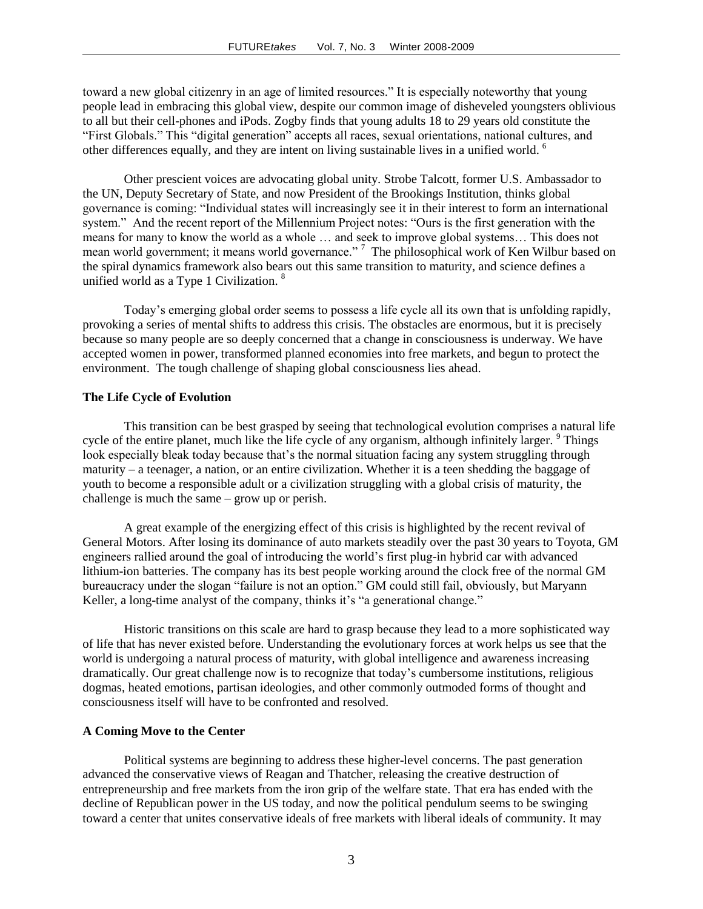toward a new global citizenry in an age of limited resources." It is especially noteworthy that young people lead in embracing this global view, despite our common image of disheveled youngsters oblivious to all but their cell-phones and iPods. Zogby finds that young adults 18 to 29 years old constitute the "First Globals." This "digital generation" accepts all races, sexual orientations, national cultures, and other differences equally, and they are intent on living sustainable lives in a unified world. <sup>6</sup>

Other prescient voices are advocating global unity. Strobe Talcott, former U.S. Ambassador to the UN, Deputy Secretary of State, and now President of the Brookings Institution, thinks global governance is coming: "Individual states will increasingly see it in their interest to form an international system." And the recent report of the Millennium Project notes: "Ours is the first generation with the means for many to know the world as a whole … and seek to improve global systems… This does not mean world government; it means world governance."<sup>7</sup> The philosophical work of Ken Wilbur based on the spiral dynamics framework also bears out this same transition to maturity, and science defines a unified world as a Type 1 Civilization.<sup>8</sup>

Today's emerging global order seems to possess a life cycle all its own that is unfolding rapidly, provoking a series of mental shifts to address this crisis. The obstacles are enormous, but it is precisely because so many people are so deeply concerned that a change in consciousness is underway. We have accepted women in power, transformed planned economies into free markets, and begun to protect the environment. The tough challenge of shaping global consciousness lies ahead.

### **The Life Cycle of Evolution**

This transition can be best grasped by seeing that technological evolution comprises a natural life cycle of the entire planet, much like the life cycle of any organism, although infinitely larger. <sup>9</sup> Things look especially bleak today because that's the normal situation facing any system struggling through maturity – a teenager, a nation, or an entire civilization. Whether it is a teen shedding the baggage of youth to become a responsible adult or a civilization struggling with a global crisis of maturity, the challenge is much the same – grow up or perish.

A great example of the energizing effect of this crisis is highlighted by the recent revival of General Motors. After losing its dominance of auto markets steadily over the past 30 years to Toyota, GM engineers rallied around the goal of introducing the world's first plug-in hybrid car with advanced lithium-ion batteries. The company has its best people working around the clock free of the normal GM bureaucracy under the slogan "failure is not an option." GM could still fail, obviously, but Maryann Keller, a long-time analyst of the company, thinks it's "a generational change."

Historic transitions on this scale are hard to grasp because they lead to a more sophisticated way of life that has never existed before. Understanding the evolutionary forces at work helps us see that the world is undergoing a natural process of maturity, with global intelligence and awareness increasing dramatically. Our great challenge now is to recognize that today's cumbersome institutions, religious dogmas, heated emotions, partisan ideologies, and other commonly outmoded forms of thought and consciousness itself will have to be confronted and resolved.

#### **A Coming Move to the Center**

Political systems are beginning to address these higher-level concerns. The past generation advanced the conservative views of Reagan and Thatcher, releasing the creative destruction of entrepreneurship and free markets from the iron grip of the welfare state. That era has ended with the decline of Republican power in the US today, and now the political pendulum seems to be swinging toward a center that unites conservative ideals of free markets with liberal ideals of community. It may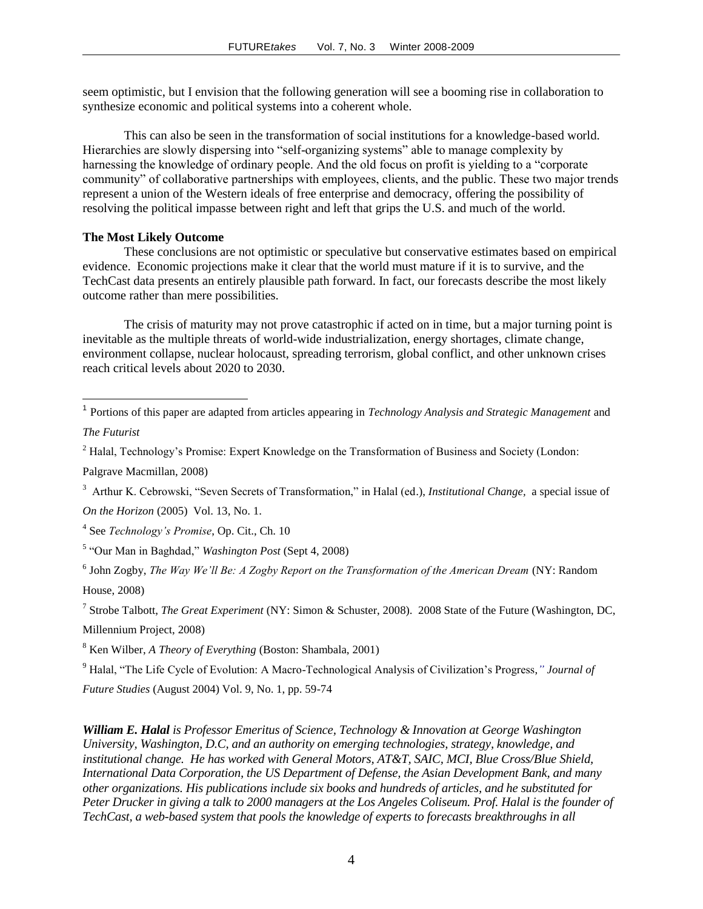seem optimistic, but I envision that the following generation will see a booming rise in collaboration to synthesize economic and political systems into a coherent whole.

This can also be seen in the transformation of social institutions for a knowledge-based world. Hierarchies are slowly dispersing into "self-organizing systems" able to manage complexity by harnessing the knowledge of ordinary people. And the old focus on profit is yielding to a "corporate community" of collaborative partnerships with employees, clients, and the public. These two major trends represent a union of the Western ideals of free enterprise and democracy, offering the possibility of resolving the political impasse between right and left that grips the U.S. and much of the world.

## **The Most Likely Outcome**

These conclusions are not optimistic or speculative but conservative estimates based on empirical evidence. Economic projections make it clear that the world must mature if it is to survive, and the TechCast data presents an entirely plausible path forward. In fact, our forecasts describe the most likely outcome rather than mere possibilities.

The crisis of maturity may not prove catastrophic if acted on in time, but a major turning point is inevitable as the multiple threats of world-wide industrialization, energy shortages, climate change, environment collapse, nuclear holocaust, spreading terrorism, global conflict, and other unknown crises reach critical levels about 2020 to 2030.

<sup>1</sup> Portions of this paper are adapted from articles appearing in *Technology Analysis and Strategic Management* and *The Futurist*

<sup>2</sup> Halal, Technology's Promise: Expert Knowledge on the Transformation of Business and Society (London:

Palgrave Macmillan, 2008)

 $\overline{a}$ 

3 Arthur K. Cebrowski, "Seven Secrets of Transformation," in Halal (ed.), *Institutional Change,* a special issue of

*On the Horizon* (2005) Vol. 13, No. 1.

4 See *Technology's Promise*, Op. Cit., Ch. 10

7 Strobe Talbott, *The Great Experiment* (NY: Simon & Schuster, 2008). 2008 State of the Future (Washington, DC, Millennium Project, 2008)

<sup>8</sup> Ken Wilber, *A Theory of Everything* (Boston: Shambala, 2001)

<sup>9</sup> Halal, "The Life Cycle of Evolution: A Macro-Technological Analysis of Civilization's Progress,*" Journal of* 

*Future Studies* (August 2004) Vol. 9, No. 1, pp. 59-74

*William E. Halal is Professor Emeritus of Science, Technology & Innovation at George Washington University, Washington, D.C, and an authority on emerging technologies, strategy, knowledge, and institutional change. He has worked with General Motors, AT&T, SAIC, MCI, Blue Cross/Blue Shield, International Data Corporation, the US Department of Defense, the Asian Development Bank, and many other organizations. His publications include six books and hundreds of articles, and he substituted for Peter Drucker in giving a talk to 2000 managers at the Los Angeles Coliseum. Prof. Halal is the founder of TechCast, a web-based system that pools the knowledge of experts to forecasts breakthroughs in all* 

<sup>5</sup> "Our Man in Baghdad," *Washington Post* (Sept 4, 2008)

<sup>6</sup> John Zogby, *The Way We'll Be: A Zogby Report on the Transformation of the American Dream* (NY: Random House, 2008)